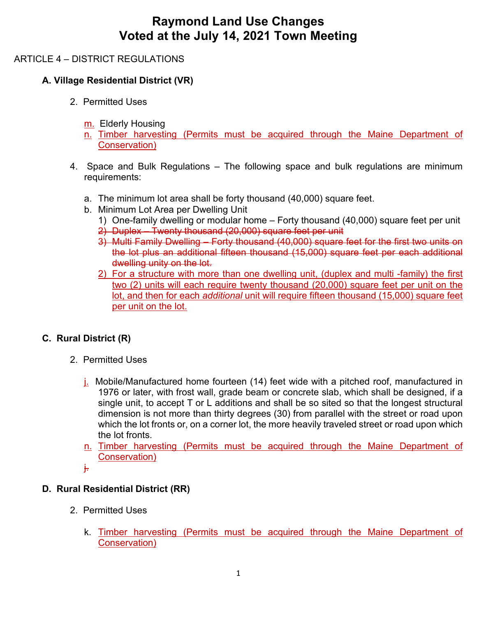# **Raymond Land Use Changes Voted at the July 14, 2021 Town Meeting**

## ARTICLE 4 – DISTRICT REGULATIONS

# **A. Village Residential District (VR)**

- 2. Permitted Uses
	- m. Elderly Housing
	- n. Timber harvesting (Permits must be acquired through the Maine Department of Conservation)
- 4. Space and Bulk Regulations The following space and bulk regulations are minimum requirements:
	- a. The minimum lot area shall be forty thousand (40,000) square feet.
	- b. Minimum Lot Area per Dwelling Unit
		- 1) One-family dwelling or modular home Forty thousand (40,000) square feet per unit
		- 2) Duplex Twenty thousand (20,000) square feet per unit
		- 3) Multi Family Dwelling Forty thousand (40,000) square feet for the first two units on the lot plus an additional fifteen thousand (15,000) square feet per each additional dwelling unity on the lot.
		- 2) For a structure with more than one dwelling unit, (duplex and multi -family) the first two (2) units will each require twenty thousand (20,000) square feet per unit on the lot, and then for each *additional* unit will require fifteen thousand (15,000) square feet per unit on the lot.

# **C. Rural District (R)**

- 2. Permitted Uses
	- j. Mobile/Manufactured home fourteen (14) feet wide with a pitched roof, manufactured in 1976 or later, with frost wall, grade beam or concrete slab, which shall be designed, if a single unit, to accept T or L additions and shall be so sited so that the longest structural dimension is not more than thirty degrees (30) from parallel with the street or road upon which the lot fronts or, on a corner lot, the more heavily traveled street or road upon which the lot fronts.
	- n. Timber harvesting (Permits must be acquired through the Maine Department of Conservation)

 $\ddot{+}$ 

# **D. Rural Residential District (RR)**

- 2. Permitted Uses
	- k. Timber harvesting (Permits must be acquired through the Maine Department of Conservation)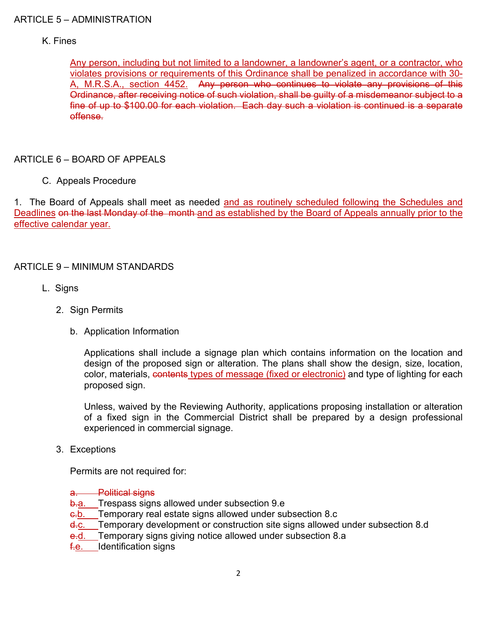### ARTICLE 5 – ADMINISTRATION

#### K. Fines

Any person, including but not limited to a landowner, a landowner's agent, or a contractor, who violates provisions or requirements of this Ordinance shall be penalized in accordance with 30- A, M.R.S.A., section 4452. Any person who continues to violate any provisions of this Ordinance, after receiving notice of such violation, shall be guilty of a misdemeanor subject to a fine of up to \$100.00 for each violation. Each day such a violation is continued is a separate offense.

### ARTICLE 6 – BOARD OF APPEALS

C. Appeals Procedure

1. The Board of Appeals shall meet as needed and as routinely scheduled following the Schedules and Deadlines on the last Monday of the month and as established by the Board of Appeals annually prior to the effective calendar year.

#### ARTICLE 9 – MINIMUM STANDARDS

- L. Signs
	- 2. Sign Permits
		- b. Application Information

Applications shall include a signage plan which contains information on the location and design of the proposed sign or alteration. The plans shall show the design, size, location, color, materials, contents types of message (fixed or electronic) and type of lighting for each proposed sign.

Unless, waived by the Reviewing Authority, applications proposing installation or alteration of a fixed sign in the Commercial District shall be prepared by a design professional experienced in commercial signage.

3. Exceptions

Permits are not required for:

a. Political signs

- **b.a.** Trespass signs allowed under subsection 9.e
- e.b. Temporary real estate signs allowed under subsection 8.c
- d<sub>re</sub>. Temporary development or construction site signs allowed under subsection 8.d
- e.d. Temporary signs giving notice allowed under subsection 8.a
- f.e. Identification signs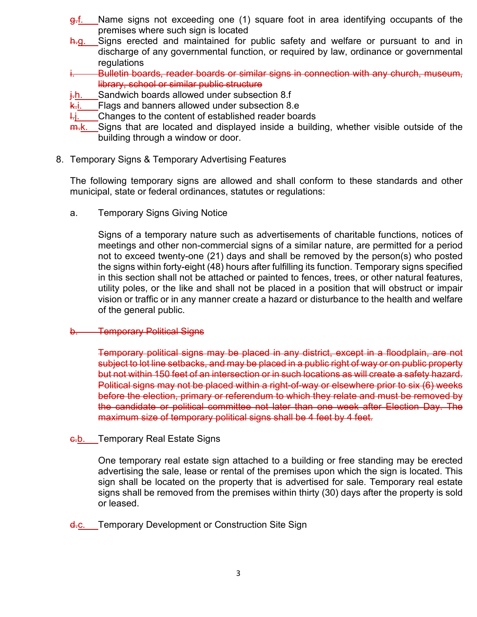- g.f. Name signs not exceeding one (1) square foot in area identifying occupants of the premises where such sign is located
- h.g. Signs erected and maintained for public safety and welfare or pursuant to and in discharge of any governmental function, or required by law, ordinance or governmental regulations
- Bulletin boards, reader boards or similar signs in connection with any church, museum, library, school or similar public structure
- i.h. Sandwich boards allowed under subsection 8.f
- $k$ . Flags and banners allowed under subsection 8.e
- $\frac{1}{2}$ . Changes to the content of established reader boards
- $m-k$ . Signs that are located and displayed inside a building, whether visible outside of the building through a window or door.
- 8. Temporary Signs & Temporary Advertising Features

The following temporary signs are allowed and shall conform to these standards and other municipal, state or federal ordinances, statutes or regulations:

a. Temporary Signs Giving Notice

Signs of a temporary nature such as advertisements of charitable functions, notices of meetings and other non-commercial signs of a similar nature, are permitted for a period not to exceed twenty-one (21) days and shall be removed by the person(s) who posted the signs within forty-eight (48) hours after fulfilling its function. Temporary signs specified in this section shall not be attached or painted to fences, trees, or other natural features, utility poles, or the like and shall not be placed in a position that will obstruct or impair vision or traffic or in any manner create a hazard or disturbance to the health and welfare of the general public.

#### b. Temporary Political Signs

Temporary political signs may be placed in any district, except in a floodplain, are not subject to lot line setbacks, and may be placed in a public right of way or on public property but not within 150 feet of an intersection or in such locations as will create a safety hazard. Political signs may not be placed within a right-of-way or elsewhere prior to six (6) weeks before the election, primary or referendum to which they relate and must be removed by the candidate or political committee not later than one week after Election Day. The maximum size of temporary political signs shall be 4 feet by 4 feet.

#### **e.b.** Temporary Real Estate Signs

One temporary real estate sign attached to a building or free standing may be erected advertising the sale, lease or rental of the premises upon which the sign is located. This sign shall be located on the property that is advertised for sale. Temporary real estate signs shall be removed from the premises within thirty (30) days after the property is sold or leased.

d.c. Temporary Development or Construction Site Sign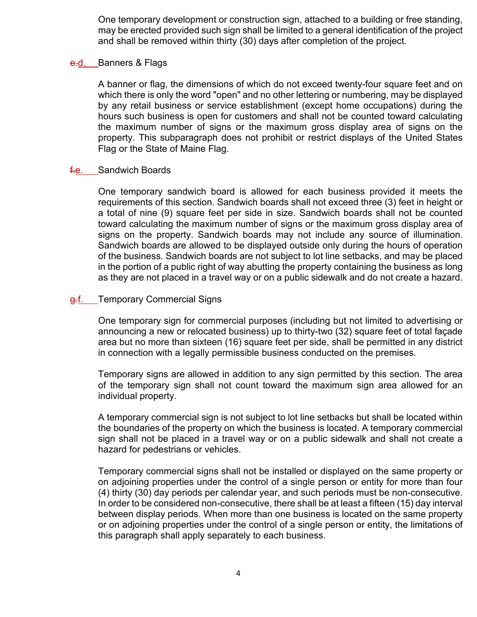One temporary development or construction sign, attached to a building or free standing, may be erected provided such sign shall be limited to a general identification of the project and shall be removed within thirty (30) days after completion of the project.

#### e.d. \_\_Banners & Flags

A banner or flag, the dimensions of which do not exceed twenty-four square feet and on which there is only the word "open" and no other lettering or numbering, may be displayed by any retail business or service establishment (except home occupations) during the hours such business is open for customers and shall not be counted toward calculating the maximum number of signs or the maximum gross display area of signs on the property. This subparagraph does not prohibit or restrict displays of the United States Flag or the State of Maine Flag.

#### f.e. Sandwich Boards

One temporary sandwich board is allowed for each business provided it meets the requirements of this section. Sandwich boards shall not exceed three (3) feet in height or a total of nine (9) square feet per side in size. Sandwich boards shall not be counted toward calculating the maximum number of signs or the maximum gross display area of signs on the property. Sandwich boards may not include any source of illumination. Sandwich boards are allowed to be displayed outside only during the hours of operation of the business. Sandwich boards are not subject to lot line setbacks, and may be placed in the portion of a public right of way abutting the property containing the business as long as they are not placed in a travel way or on a public sidewalk and do not create a hazard.

#### g.f. Temporary Commercial Signs

One temporary sign for commercial purposes (including but not limited to advertising or announcing a new or relocated business) up to thirty-two (32) square feet of total façade area but no more than sixteen (16) square feet per side, shall be permitted in any district in connection with a legally permissible business conducted on the premises.

Temporary signs are allowed in addition to any sign permitted by this section. The area of the temporary sign shall not count toward the maximum sign area allowed for an individual property.

A temporary commercial sign is not subject to lot line setbacks but shall be located within the boundaries of the property on which the business is located. A temporary commercial sign shall not be placed in a travel way or on a public sidewalk and shall not create a hazard for pedestrians or vehicles.

Temporary commercial signs shall not be installed or displayed on the same property or on adjoining properties under the control of a single person or entity for more than four (4) thirty (30) day periods per calendar year, and such periods must be non-consecutive. In order to be considered non-consecutive, there shall be at least a fifteen (15) day interval between display periods. When more than one business is located on the same property or on adjoining properties under the control of a single person or entity, the limitations of this paragraph shall apply separately to each business.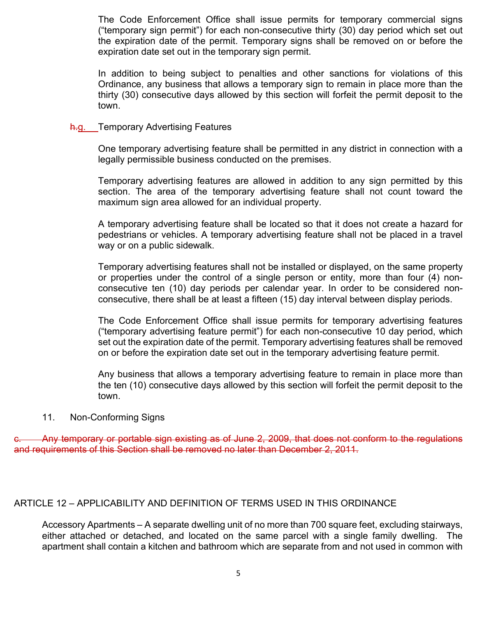The Code Enforcement Office shall issue permits for temporary commercial signs ("temporary sign permit") for each non-consecutive thirty (30) day period which set out the expiration date of the permit. Temporary signs shall be removed on or before the expiration date set out in the temporary sign permit.

In addition to being subject to penalties and other sanctions for violations of this Ordinance, any business that allows a temporary sign to remain in place more than the thirty (30) consecutive days allowed by this section will forfeit the permit deposit to the town.

#### **h.g.** Temporary Advertising Features

One temporary advertising feature shall be permitted in any district in connection with a legally permissible business conducted on the premises.

Temporary advertising features are allowed in addition to any sign permitted by this section. The area of the temporary advertising feature shall not count toward the maximum sign area allowed for an individual property.

A temporary advertising feature shall be located so that it does not create a hazard for pedestrians or vehicles. A temporary advertising feature shall not be placed in a travel way or on a public sidewalk.

Temporary advertising features shall not be installed or displayed, on the same property or properties under the control of a single person or entity, more than four (4) nonconsecutive ten (10) day periods per calendar year. In order to be considered nonconsecutive, there shall be at least a fifteen (15) day interval between display periods.

The Code Enforcement Office shall issue permits for temporary advertising features ("temporary advertising feature permit") for each non-consecutive 10 day period, which set out the expiration date of the permit. Temporary advertising features shall be removed on or before the expiration date set out in the temporary advertising feature permit.

Any business that allows a temporary advertising feature to remain in place more than the ten (10) consecutive days allowed by this section will forfeit the permit deposit to the town.

#### 11. Non-Conforming Signs

Any temporary or portable sign existing as of June 2, 2009, that does not conform to the regulations and requirements of this Section shall be removed no later than December 2, 2011.

#### ARTICLE 12 – APPLICABILITY AND DEFINITION OF TERMS USED IN THIS ORDINANCE

Accessory Apartments – A separate dwelling unit of no more than 700 square feet, excluding stairways, either attached or detached, and located on the same parcel with a single family dwelling. The apartment shall contain a kitchen and bathroom which are separate from and not used in common with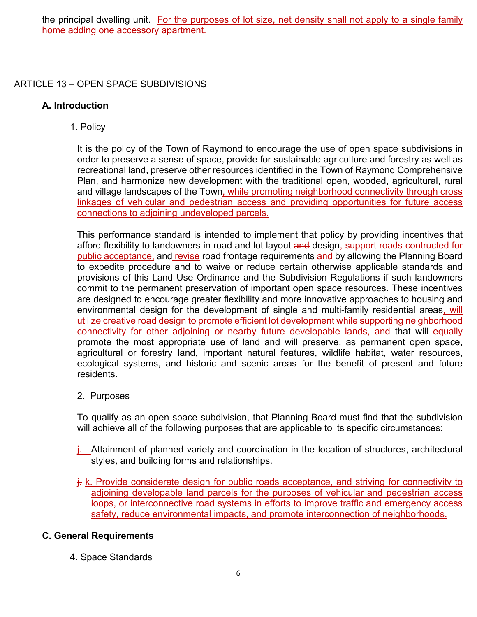## ARTICLE 13 – OPEN SPACE SUBDIVISIONS

### **A. Introduction**

1. Policy

It is the policy of the Town of Raymond to encourage the use of open space subdivisions in order to preserve a sense of space, provide for sustainable agriculture and forestry as well as recreational land, preserve other resources identified in the Town of Raymond Comprehensive Plan, and harmonize new development with the traditional open, wooded, agricultural, rural and village landscapes of the Town, while promoting neighborhood connectivity through cross linkages of vehicular and pedestrian access and providing opportunities for future access connections to adjoining undeveloped parcels.

This performance standard is intended to implement that policy by providing incentives that afford flexibility to landowners in road and lot layout and design, support roads contructed for public acceptance, and revise road frontage requirements and by allowing the Planning Board to expedite procedure and to waive or reduce certain otherwise applicable standards and provisions of this Land Use Ordinance and the Subdivision Regulations if such landowners commit to the permanent preservation of important open space resources. These incentives are designed to encourage greater flexibility and more innovative approaches to housing and environmental design for the development of single and multi-family residential areas, will utilize creative road design to promote efficient lot development while supporting neighborhood connectivity for other adjoining or nearby future developable lands, and that will equally promote the most appropriate use of land and will preserve, as permanent open space, agricultural or forestry land, important natural features, wildlife habitat, water resources, ecological systems, and historic and scenic areas for the benefit of present and future residents.

2. Purposes

To qualify as an open space subdivision, that Planning Board must find that the subdivision will achieve all of the following purposes that are applicable to its specific circumstances:

- j. Attainment of planned variety and coordination in the location of structures, architectural styles, and building forms and relationships.
- $\frac{1}{2}$ . K. Provide considerate design for public roads acceptance, and striving for connectivity to adjoining developable land parcels for the purposes of vehicular and pedestrian access loops, or interconnective road systems in efforts to improve traffic and emergency access safety, reduce environmental impacts, and promote interconnection of neighborhoods.

### **C. General Requirements**

4. Space Standards